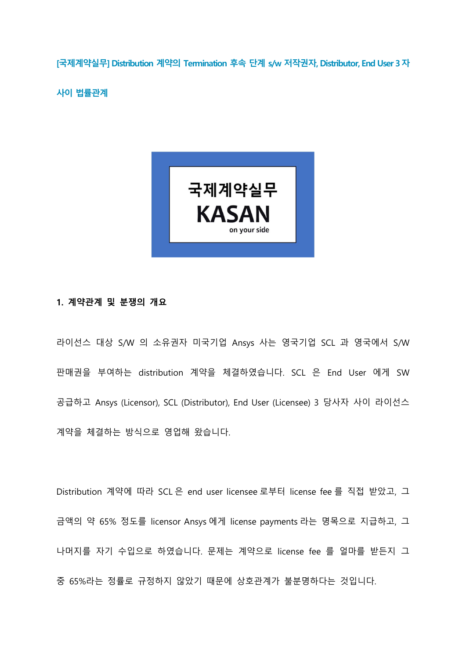[국제계약실무] Distribution 계약의 Termination 후속 단계 s/w 저작권자, Distributor, End User 3 자

사이 법률관계



## 1. 계약관계 및 분쟁의 개요

라이선스 대상 S/W 의 소유권자 미국기업 Ansys 사는 영국기업 SCL 과 영국에서 S/W 판매권을 부여하는 distribution 계약을 체결하였습니다. SCL 은 End User 에게 SW 공급하고 Ansys (Licensor), SCL (Distributor), End User (Licensee) 3 당사자 사이 라이선스 계약을 체결하는 방식으로 영업해 왔습니다.

Distribution 계약에 따라 SCL 은 end user licensee 로부터 license fee 를 직접 받았고, 그 금액의 약 65% 정도를 licensor Ansys 에게 license payments 라는 명목으로 지급하고, 그 나머지를 자기 수입으로 하였습니다. 문제는 계약으로 license fee 를 얼마를 받든지 그 중 65%라는 정률로 규정하지 않았기 때문에 상호관계가 불분명하다는 것입니다.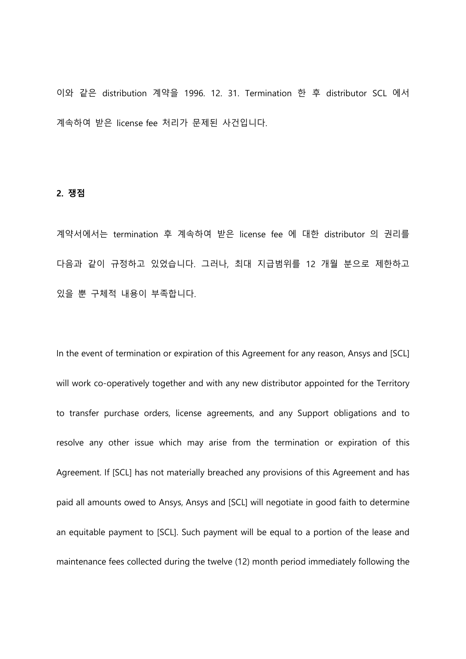이와 같은 distribution 계약을 1996. 12. 31. Termination 한 후 distributor SCL 에서 계속하여 받은 license fee 처리가 문제된 사건입니다.

## 2. 쟁점

계약서에서는 termination 후 계속하여 받은 license fee 에 대한 distributor 의 권리를 다음과 같이 규정하고 있었습니다. 그러나, 최대 지급범위를 12 개월 분으로 제한하고 있을 뿐 구체적 내용이 부족합니다.

In the event of termination or expiration of this Agreement for any reason, Ansys and [SCL] will work co-operatively together and with any new distributor appointed for the Territory to transfer purchase orders, license agreements, and any Support obligations and to resolve any other issue which may arise from the termination or expiration of this Agreement. If [SCL] has not materially breached any provisions of this Agreement and has paid all amounts owed to Ansys, Ansys and [SCL] will negotiate in good faith to determine an equitable payment to [SCL]. Such payment will be equal to a portion of the lease and maintenance fees collected during the twelve (12) month period immediately following the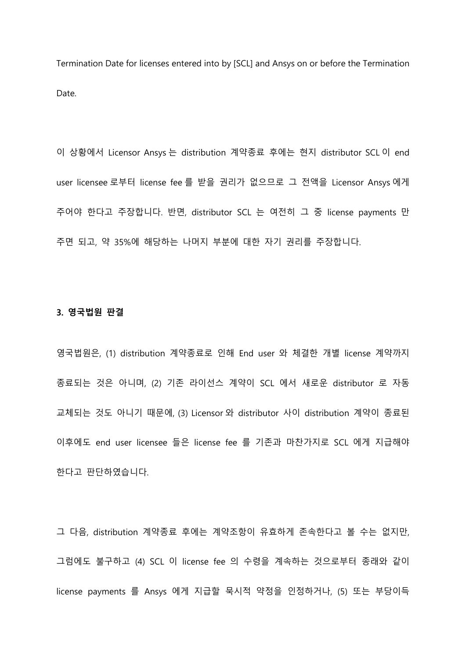Termination Date for licenses entered into by [SCL] and Ansys on or before the Termination Date.

이 상황에서 Licensor Ansys 는 distribution 계약종료 후에는 현지 distributor SCL 이 end user licensee 로부터 license fee 를 받을 권리가 없으므로 그 전액을 Licensor Ansys 에게 주어야 한다고 주장합니다. 반면, distributor SCL 는 여전히 그 중 license payments 만 주면 되고, 약 35%에 해당하는 나머지 부분에 대한 자기 권리를 주장합니다.

## 3. 영국법원 판결

영국법원은, (1) distribution 계약종료로 인해 End user 와 체결한 개별 license 계약까지 종료되는 것은 아니며, (2) 기존 라이선스 계약이 SCL 에서 새로운 distributor 로 자동 교체되는 것도 아니기 때문에, (3) Licensor 와 distributor 사이 distribution 계약이 종료된 이후에도 end user licensee 들은 license fee 를 기존과 마찬가지로 SCL 에게 지급해야 한다고 판단하였습니다.

그 다음, distribution 계약종료 후에는 계약조항이 유효하게 존속한다고 볼 수는 없지만, 그럼에도 불구하고 (4) SCL 이 license fee 의 수령을 계속하는 것으로부터 종래와 같이 license payments 를 Ansys 에게 지급할 묵시적 약정을 인정하거나, (5) 또는 부당이득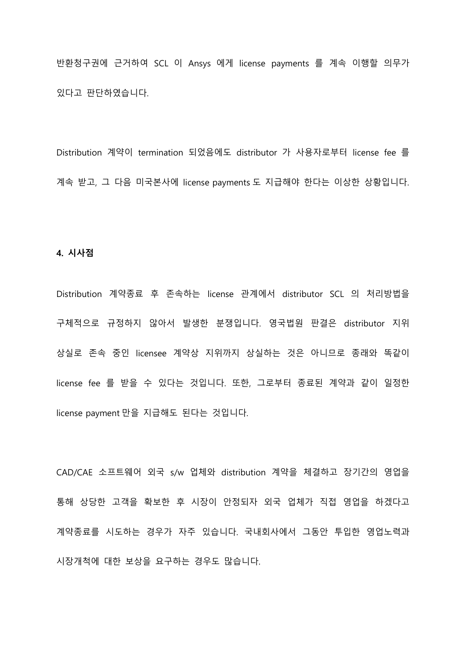반환청구권에 근거하여 SCL 이 Ansys 에게 license payments 를 계속 이행할 의무가 있다고 판단하였습니다.

Distribution 계약이 termination 되었음에도 distributor 가 사용자로부터 license fee 를 계속 받고, 그 다음 미국본사에 license payments 도 지급해야 한다는 이상한 상황입니다.

## 4. 시사점

Distribution 계약종료 후 존속하는 license 관계에서 distributor SCL 의 처리방법을 구체적으로 규정하지 않아서 발생한 분쟁입니다. 영국법원 판결은 distributor 지위 상실로 존속 중인 licensee 계약상 지위까지 상실하는 것은 아니므로 종래와 똑같이 license fee 를 받을 수 있다는 것입니다. 또한, 그로부터 종료된 계약과 같이 일정한 license payment 만을 지급해도 된다는 것입니다.

CAD/CAE 소프트웨어 외국 s/w 업체와 distribution 계약을 체결하고 장기간의 영업을 통해 상당한 고객을 확보한 후 시장이 안정되자 외국 업체가 직접 영업을 하겠다고 계약종료를 시도하는 경우가 자주 있습니다. 국내회사에서 그동안 투입한 영업노력과 시장개척에 대한 보상을 요구하는 경우도 많습니다.